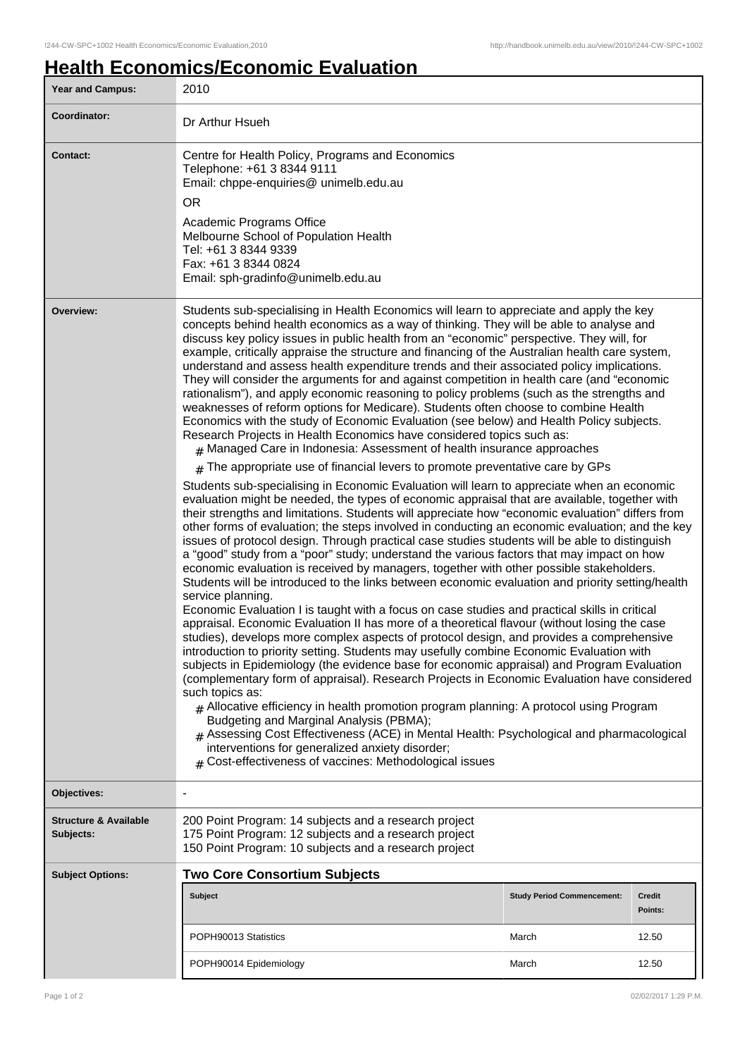## **Health Economics/Economic Evaluation**

| <b>Year and Campus:</b>                       | 2010                                                                                                                                                                                                                                                                                                                                                                                                                                                                                                                                                                                                                                                                                                                                                                                                                                                                                                                                                                                                                                                                                                                                                                                                                                                                                                                                                                                                                                                                                                                                                                                                                                                                                                                                                                                                                                                                                                                                                                                                                                                                                                                                                                                                                                                                                                                                                                                                                                                                                                                                                                                                                                                                                                                                                                                                                                                                                      |                                   |                          |
|-----------------------------------------------|-------------------------------------------------------------------------------------------------------------------------------------------------------------------------------------------------------------------------------------------------------------------------------------------------------------------------------------------------------------------------------------------------------------------------------------------------------------------------------------------------------------------------------------------------------------------------------------------------------------------------------------------------------------------------------------------------------------------------------------------------------------------------------------------------------------------------------------------------------------------------------------------------------------------------------------------------------------------------------------------------------------------------------------------------------------------------------------------------------------------------------------------------------------------------------------------------------------------------------------------------------------------------------------------------------------------------------------------------------------------------------------------------------------------------------------------------------------------------------------------------------------------------------------------------------------------------------------------------------------------------------------------------------------------------------------------------------------------------------------------------------------------------------------------------------------------------------------------------------------------------------------------------------------------------------------------------------------------------------------------------------------------------------------------------------------------------------------------------------------------------------------------------------------------------------------------------------------------------------------------------------------------------------------------------------------------------------------------------------------------------------------------------------------------------------------------------------------------------------------------------------------------------------------------------------------------------------------------------------------------------------------------------------------------------------------------------------------------------------------------------------------------------------------------------------------------------------------------------------------------------------------------|-----------------------------------|--------------------------|
| Coordinator:                                  | Dr Arthur Hsueh                                                                                                                                                                                                                                                                                                                                                                                                                                                                                                                                                                                                                                                                                                                                                                                                                                                                                                                                                                                                                                                                                                                                                                                                                                                                                                                                                                                                                                                                                                                                                                                                                                                                                                                                                                                                                                                                                                                                                                                                                                                                                                                                                                                                                                                                                                                                                                                                                                                                                                                                                                                                                                                                                                                                                                                                                                                                           |                                   |                          |
| <b>Contact:</b>                               | Centre for Health Policy, Programs and Economics<br>Telephone: +61 3 8344 9111<br>Email: chppe-enquiries@ unimelb.edu.au<br><b>OR</b><br>Academic Programs Office<br>Melbourne School of Population Health<br>Tel: +61 3 8344 9339<br>Fax: +61 3 8344 0824<br>Email: sph-gradinfo@unimelb.edu.au                                                                                                                                                                                                                                                                                                                                                                                                                                                                                                                                                                                                                                                                                                                                                                                                                                                                                                                                                                                                                                                                                                                                                                                                                                                                                                                                                                                                                                                                                                                                                                                                                                                                                                                                                                                                                                                                                                                                                                                                                                                                                                                                                                                                                                                                                                                                                                                                                                                                                                                                                                                          |                                   |                          |
| Overview:                                     | Students sub-specialising in Health Economics will learn to appreciate and apply the key<br>concepts behind health economics as a way of thinking. They will be able to analyse and<br>discuss key policy issues in public health from an "economic" perspective. They will, for<br>example, critically appraise the structure and financing of the Australian health care system,<br>understand and assess health expenditure trends and their associated policy implications.<br>They will consider the arguments for and against competition in health care (and "economic<br>rationalism"), and apply economic reasoning to policy problems (such as the strengths and<br>weaknesses of reform options for Medicare). Students often choose to combine Health<br>Economics with the study of Economic Evaluation (see below) and Health Policy subjects.<br>Research Projects in Health Economics have considered topics such as:<br>$#$ Managed Care in Indonesia: Assessment of health insurance approaches<br>$#$ The appropriate use of financial levers to promote preventative care by GPs<br>Students sub-specialising in Economic Evaluation will learn to appreciate when an economic<br>evaluation might be needed, the types of economic appraisal that are available, together with<br>their strengths and limitations. Students will appreciate how "economic evaluation" differs from<br>other forms of evaluation; the steps involved in conducting an economic evaluation; and the key<br>issues of protocol design. Through practical case studies students will be able to distinguish<br>a "good" study from a "poor" study; understand the various factors that may impact on how<br>economic evaluation is received by managers, together with other possible stakeholders.<br>Students will be introduced to the links between economic evaluation and priority setting/health<br>service planning.<br>Economic Evaluation I is taught with a focus on case studies and practical skills in critical<br>appraisal. Economic Evaluation II has more of a theoretical flavour (without losing the case<br>studies), develops more complex aspects of protocol design, and provides a comprehensive<br>introduction to priority setting. Students may usefully combine Economic Evaluation with<br>subjects in Epidemiology (the evidence base for economic appraisal) and Program Evaluation<br>(complementary form of appraisal). Research Projects in Economic Evaluation have considered<br>such topics as:<br>$#$ Allocative efficiency in health promotion program planning: A protocol using Program<br>Budgeting and Marginal Analysis (PBMA);<br>$#$ Assessing Cost Effectiveness (ACE) in Mental Health: Psychological and pharmacological<br>interventions for generalized anxiety disorder;<br># Cost-effectiveness of vaccines: Methodological issues |                                   |                          |
| Objectives:                                   |                                                                                                                                                                                                                                                                                                                                                                                                                                                                                                                                                                                                                                                                                                                                                                                                                                                                                                                                                                                                                                                                                                                                                                                                                                                                                                                                                                                                                                                                                                                                                                                                                                                                                                                                                                                                                                                                                                                                                                                                                                                                                                                                                                                                                                                                                                                                                                                                                                                                                                                                                                                                                                                                                                                                                                                                                                                                                           |                                   |                          |
| <b>Structure &amp; Available</b><br>Subjects: | 200 Point Program: 14 subjects and a research project<br>175 Point Program: 12 subjects and a research project<br>150 Point Program: 10 subjects and a research project                                                                                                                                                                                                                                                                                                                                                                                                                                                                                                                                                                                                                                                                                                                                                                                                                                                                                                                                                                                                                                                                                                                                                                                                                                                                                                                                                                                                                                                                                                                                                                                                                                                                                                                                                                                                                                                                                                                                                                                                                                                                                                                                                                                                                                                                                                                                                                                                                                                                                                                                                                                                                                                                                                                   |                                   |                          |
| <b>Subject Options:</b>                       | <b>Two Core Consortium Subjects</b>                                                                                                                                                                                                                                                                                                                                                                                                                                                                                                                                                                                                                                                                                                                                                                                                                                                                                                                                                                                                                                                                                                                                                                                                                                                                                                                                                                                                                                                                                                                                                                                                                                                                                                                                                                                                                                                                                                                                                                                                                                                                                                                                                                                                                                                                                                                                                                                                                                                                                                                                                                                                                                                                                                                                                                                                                                                       |                                   |                          |
|                                               | <b>Subject</b>                                                                                                                                                                                                                                                                                                                                                                                                                                                                                                                                                                                                                                                                                                                                                                                                                                                                                                                                                                                                                                                                                                                                                                                                                                                                                                                                                                                                                                                                                                                                                                                                                                                                                                                                                                                                                                                                                                                                                                                                                                                                                                                                                                                                                                                                                                                                                                                                                                                                                                                                                                                                                                                                                                                                                                                                                                                                            | <b>Study Period Commencement:</b> | <b>Credit</b><br>Points: |
|                                               | POPH90013 Statistics                                                                                                                                                                                                                                                                                                                                                                                                                                                                                                                                                                                                                                                                                                                                                                                                                                                                                                                                                                                                                                                                                                                                                                                                                                                                                                                                                                                                                                                                                                                                                                                                                                                                                                                                                                                                                                                                                                                                                                                                                                                                                                                                                                                                                                                                                                                                                                                                                                                                                                                                                                                                                                                                                                                                                                                                                                                                      | March                             | 12.50                    |
|                                               | POPH90014 Epidemiology                                                                                                                                                                                                                                                                                                                                                                                                                                                                                                                                                                                                                                                                                                                                                                                                                                                                                                                                                                                                                                                                                                                                                                                                                                                                                                                                                                                                                                                                                                                                                                                                                                                                                                                                                                                                                                                                                                                                                                                                                                                                                                                                                                                                                                                                                                                                                                                                                                                                                                                                                                                                                                                                                                                                                                                                                                                                    | March                             | 12.50                    |